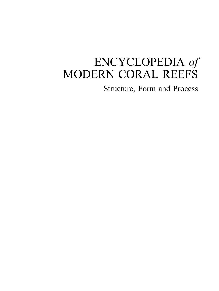# ENCYCLOPEDIA of MODERN CORAL REEFS

Structure, Form and Process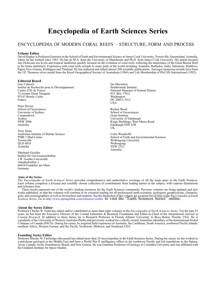## Encyclopedia of Earth Sciences Series

#### ENCYCLOPEDIA OF MODERN CORAL REEFS – STRUCTURE, FORM AND PROCESS

#### Volume Editor

David Hopley is Professor Emeritus in the School of Earth and Environmental Science at James Cook University, Townsville, Queensland, Australia, where he has worked since 1965. He has an M.A. from the University of Manchester and Ph.D. from James Cook University. His initial research into Holocene sea levels and tropical landforms quickly focused on the evolution of coral reefs, reflecting the importance of the Great Barrier Reef to his home institution. Experience with coral reefs extends to many parts of the world including Australia, Barbados, India, Indonesia, Maldives, Papua New Guinea, Rodrigues and Thailand. He has authored and edited almost 200 scientific publications. Amongst numerous awards have been the J.P. Thomson silver medal from the Royal Geographical Society of Australasia (1984) and Life Membership of PACON International (1992).

#### Editorial Board

Guy Cabioch Institut de Recherche pour le Développement Centre d'Ile de France 32 avenue Henri Varagnat 93143 Bondy Cedex France

Peter Davies School of Geosciences University of Sydney Camperdown **Sydney** NSW 2006 Australia

Terry Done Australian Institute of Marine Science PMB 3 Mail Centre Townsville QLD 4810 Australia

Eberhard Gischler Institut für Geowissenschaften J.W. Goethe-Universität Altenhoferallee 1 60438 Frankfurt am Main Germany

#### Aims of the Series

Ian Macintyre Smithsonian Institute National Museum of Natural History P.O. Box 37012 Washington DC 20013-7012 USA

Rachel Wood School of Geosciences Grant Institute University of Edinburgh Kings Buildings, West Mains Road Edinburgh EH9 3JW UK

Colin Woodroffe School of Earth and Environmental Sciences Wollongong University Wollongong NSW 2522 Australia

The Encyclopedia of Earth Sciences Series provides comprehensive and authoritative coverage of all the main areas in the Earth Sciences. Each volume comprises a focused and carefully chosen collection of contributions from leading names in the subject, with copious illustrations and reference lists.

These books represent one of the world's leading resources for the Earth Sciences community. Previous volumes are being updated and new works published, so that the volumes will continue to be essential reading for all professional earth scientists, geologists, geophysicists, climatologists, and oceanographers as well as for teachers and students. See the dustjacket of this volume for a current list of titles in the *Encyclopedia of Earth*<br>Sciences Series. Go to http://www.springerlink.com/reference-wor

#### About the Series Editor

Professor Charles W. Finkl has edited and/or contributed to more than eight volumes in the Encyclopedia of Earth Sciences Series. For the past 25 years, he has been the Executive Director of the Coastal Education & Research Foundation and Editor-in-Chief of the international Journal of Coastal Research. In addition to these duties, he is Research Professor at Florida Atlantic University in Boca Raton, Florida, USA. He is a graduate of the University of Western Australia (Perth) and previously worked for a wholly owned Australian subsidiary of the International Nickel Company of Canada (INCO). During his career, he acquired field experience in Australia, the Caribbean, South America, southwest Pacific islands, southern Africa, Western Europe, and the Pacific Northwest, Midwest, and Southeast USA.

#### Founding Series Editor

Professor Rhodes W. Fairbridge (deceased) has edited more than 24 encyclopedias in the Earth Sciences Series. During his career, he has worked as a petroleum geologist in the Middle East and been a World War II intelligence officer in the southwest Pacific and led expeditions to the Sahara, Arctic Canada, Arctic Scandinavia, Brazil, and New Guinea. He was Emeritus Professor of Geology at Columbia University and was affiliated with the Goddard Institute for Space Studies.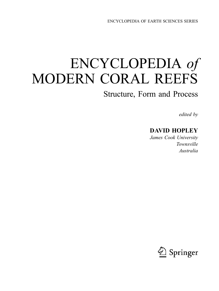ENCYCLOPEDIA OF EARTH SCIENCES SERIES

# ENCYCLOPEDIA of MODERN CORAL REEFS

## Structure, Form and Process

edited by

### DAVID HOPLEY

James Cook University Townsville Australia

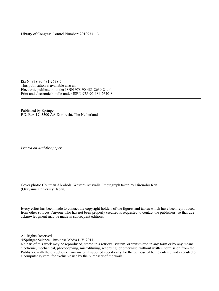Library of Congress Control Number: 2010933113

ISBN: 978-90-481-2638-5 This publication is available also as: Electronic publication under ISBN 978-90-481-2639-2 and Print and electronic bundle under ISBN 978-90-481-2640-8

Published by Springer P.O. Box 17, 3300 AA Dordrecht, The Netherlands

Printed on acid-free paper

Cover photo: Houtman Abrohols, Western Australia. Photograph taken by Hironobu Kan (Okayama University, Japan)

Every effort has been made to contact the copyright holders of the figures and tables which have been reproduced from other sources. Anyone who has not been properly credited is requested to contact the publishers, so that due acknowledgment may be made in subsequent editions.

All Rights Reserved

© Springer Science+Business Media B.V. 2011

No part of this work may be reproduced, stored in a retrieval system, or transmitted in any form or by any means, electronic, mechanical, photocopying, microfilming, recording, or otherwise, without written permission from the Publisher, with the exception of any material supplied specifically for the purpose of being entered and executed on a computer system, for exclusive use by the purchaser of the work.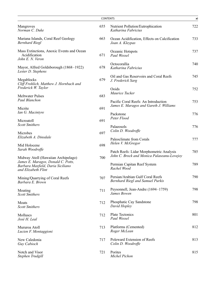| <b>CONTENTS</b>                                                                                                                       |     |                                                                                          |     |
|---------------------------------------------------------------------------------------------------------------------------------------|-----|------------------------------------------------------------------------------------------|-----|
| Mangroves<br>Norman C. Duke                                                                                                           | 655 | Nutrient Pollution/Eutrophication<br>Katharina Fabricius                                 | 722 |
| Mariana Islands, Coral Reef Geology<br><b>Bernhard Riegl</b>                                                                          | 663 | Ocean Acidification, Effects on Calcification<br>Joan A. Kleypas                         | 733 |
| Mass Extinctions, Anoxic Events and Ocean<br>Acidification<br>John E. N. Veron                                                        | 671 | Oceanic Hotspots<br>Paul Wessel                                                          | 737 |
| Mayor, Alfred Goldsborough (1868-1922)<br>Lester D. Stephens                                                                          | 678 | Octocorallia<br>Katharina Fabricius                                                      | 740 |
| Megablocks<br>Cliff Frohlich, Matthew J. Hornbach and                                                                                 | 679 | Oil and Gas Reservoirs and Coral Reefs<br>J. Frederick Sarg                              | 745 |
| Frederick W. Taylor<br><b>Meltwater Pulses</b>                                                                                        | 683 | Ooids<br>Maurice Tucker                                                                  | 752 |
| Paul Blanchon<br>Micrite                                                                                                              | 691 | Pacific Coral Reefs: An Introduction<br>James E. Maragos and Gareth J. Williams          | 753 |
| Ian G. Macintyre<br>Microatoll                                                                                                        | 691 | Packstone<br>Peter Flood                                                                 | 776 |
| <b>Scott Smithers</b><br>Microbes                                                                                                     | 697 | Palaeosols<br>Colin D. Woodroffe                                                         | 776 |
| Elizabeth A. Dinsdale                                                                                                                 |     | Paleoclimate from Corals<br>Helen V. McGregor                                            | 777 |
| Mid Holocene<br>Sarah Woodroffe                                                                                                       | 698 | Patch Reefs: Lidar Morphometric Analysis                                                 | 785 |
| Midway Atoll (Hawaiian Archipelago)<br>James E. Maragos, Donald C. Potts,<br>Barbara Maxfield, Daria Siciliano<br>and Elizabeth Flint | 700 | John C. Brock and Monica Palaseanu-Lovejoy<br>Permian Capitan Reef System<br>Rachel Wood | 789 |
| Mining/Quarrying of Coral Reefs<br>Barbara E. Brown                                                                                   | 707 | Persian/Arabian Gulf Coral Reefs<br>Bernhard Riegl and Samuel Purkis                     | 790 |
| Moating<br><b>Scott Smithers</b>                                                                                                      | 711 | Peysonnell, Jean-Andre (1694–1759)<br>James Bowen                                        | 798 |
| Moats<br><b>Scott Smithers</b>                                                                                                        | 712 | Phosphatic Cay Sandstone<br>David Hopley                                                 | 798 |
| Molluscs<br>José H. Leal                                                                                                              | 712 | Plate Tectonics<br>Paul Wessel                                                           | 801 |
| Mururoa Atoll<br>Lucien F. Montaggioni                                                                                                | 713 | Platforms (Cemented)<br>Roger McLean                                                     | 812 |
| New Caledonia<br>Guy Cabioch                                                                                                          | 717 | Poleward Extension of Reefs<br>Colin D. Woodroffe                                        | 813 |
| Notch and Visor<br>Stephen Trudgill                                                                                                   | 721 | Porites<br>Michel Pichon                                                                 | 815 |